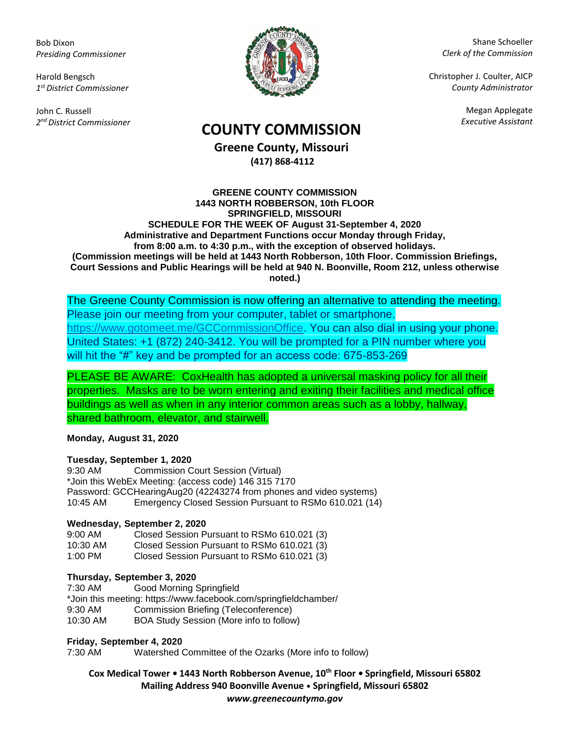Bob Dixon *Presiding Commissioner*

Harold Bengsch *1 st District Commissioner*

John C. Russell *2 nd District Commissioner*



Shane Schoeller *Clerk of the Commission*

Christopher J. Coulter, AICP *County Administrator*

Megan Applegate

# *Executive Assistant* **COUNTY COMMISSION**

**Greene County, Missouri (417) 868-4112**

#### **GREENE COUNTY COMMISSION 1443 NORTH ROBBERSON, 10th FLOOR SPRINGFIELD, MISSOURI SCHEDULE FOR THE WEEK OF August 31-September 4, 2020 Administrative and Department Functions occur Monday through Friday, from 8:00 a.m. to 4:30 p.m., with the exception of observed holidays. (Commission meetings will be held at 1443 North Robberson, 10th Floor. Commission Briefings, Court Sessions and Public Hearings will be held at 940 N. Boonville, Room 212, unless otherwise noted.)**

The Greene County Commission is now offering an alternative to attending the meeting. Please join our meeting from your computer, tablet or smartphone. [https://www.gotomeet.me/GCCommissionOffice.](https://www.gotomeet.me/GCCommissionOffice) You can also dial in using your phone. United States: +1 (872) 240-3412. You will be prompted for a PIN number where you will hit the "#" key and be prompted for an access code: 675-853-269

PLEASE BE AWARE: CoxHealth has adopted a universal masking policy for all their properties. Masks are to be worn entering and exiting their facilities and medical office buildings as well as when in any interior common areas such as a lobby, hallway, shared bathroom, elevator, and stairwell.

## **Monday, August 31, 2020**

### **Tuesday, September 1, 2020**

9:30 AM Commission Court Session (Virtual) \*Join this WebEx Meeting: (access code) 146 315 7170 Password: GCCHearingAug20 (42243274 from phones and video systems) 10:45 AM Emergency Closed Session Pursuant to RSMo 610.021 (14)

### **Wednesday, September 2, 2020**

| $9:00$ AM | Closed Session Pursuant to RSMo 610.021 (3) |
|-----------|---------------------------------------------|
| 10:30 AM  | Closed Session Pursuant to RSMo 610.021 (3) |
| 1:00 PM   | Closed Session Pursuant to RSMo 610.021 (3) |

### **Thursday, September 3, 2020**

7:30 AM Good Morning Springfield \*Join this meeting: https://www.facebook.com/springfieldchamber/ 9:30 AM Commission Briefing (Teleconference) 10:30 AM BOA Study Session (More info to follow)

## **Friday, September 4, 2020**

7:30 AM Watershed Committee of the Ozarks (More info to follow)

**Cox Medical Tower • 1443 North Robberson Avenue, 10th Floor • Springfield, Missouri 65802 Mailing Address 940 Boonville Avenue • Springfield, Missouri 65802** *www.greenecountymo.gov*